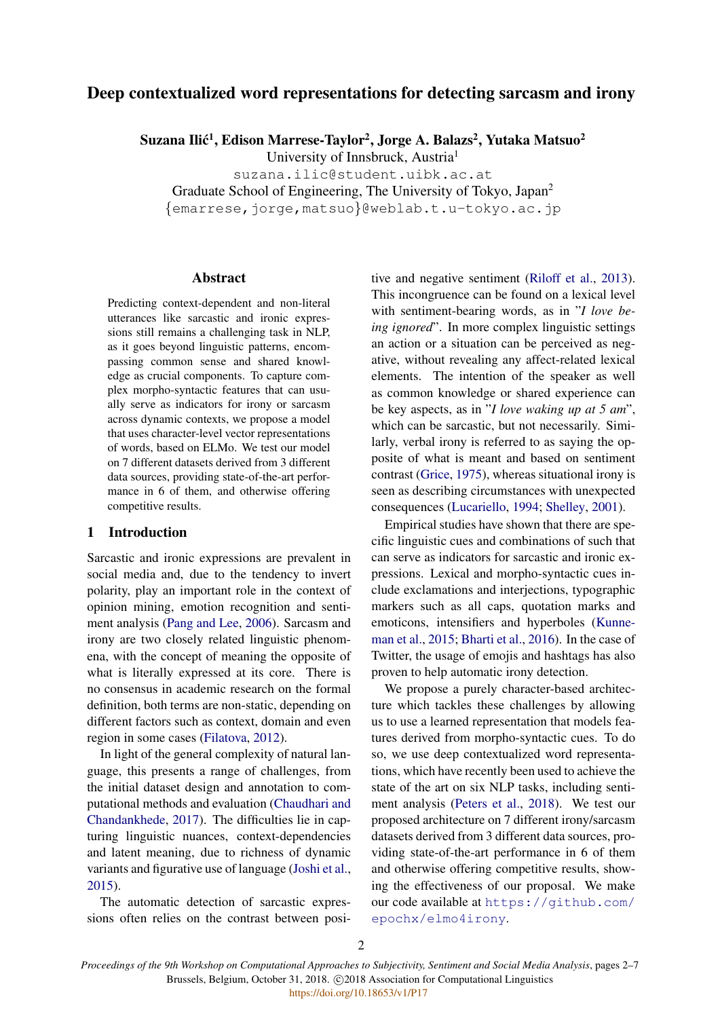# Deep contextualized word representations for detecting sarcasm and irony

Suzana Ilić<sup>1</sup>, Edison Marrese-Taylor<sup>2</sup>, Jorge A. Balazs<sup>2</sup>, Yutaka Matsuo<sup>2</sup>

University of Innsbruck, Austria<sup>1</sup>

suzana.ilic@student.uibk.ac.at

Graduate School of Engineering, The University of Tokyo, Japan<sup>2</sup>

{emarrese,jorge,matsuo}@weblab.t.u-tokyo.ac.jp

# Abstract

Predicting context-dependent and non-literal utterances like sarcastic and ironic expressions still remains a challenging task in NLP, as it goes beyond linguistic patterns, encompassing common sense and shared knowledge as crucial components. To capture complex morpho-syntactic features that can usually serve as indicators for irony or sarcasm across dynamic contexts, we propose a model that uses character-level vector representations of words, based on ELMo. We test our model on 7 different datasets derived from 3 different data sources, providing state-of-the-art performance in 6 of them, and otherwise offering competitive results.

#### 1 Introduction

Sarcastic and ironic expressions are prevalent in social media and, due to the tendency to invert polarity, play an important role in the context of opinion mining, emotion recognition and sentiment analysis [\(Pang and Lee,](#page-4-0) [2006\)](#page-4-0). Sarcasm and irony are two closely related linguistic phenomena, with the concept of meaning the opposite of what is literally expressed at its core. There is no consensus in academic research on the formal definition, both terms are non-static, depending on different factors such as context, domain and even region in some cases [\(Filatova,](#page-4-1) [2012\)](#page-4-1).

In light of the general complexity of natural language, this presents a range of challenges, from the initial dataset design and annotation to computational methods and evaluation [\(Chaudhari and](#page-4-2) [Chandankhede,](#page-4-2) [2017\)](#page-4-2). The difficulties lie in capturing linguistic nuances, context-dependencies and latent meaning, due to richness of dynamic variants and figurative use of language [\(Joshi et al.,](#page-4-3) [2015\)](#page-4-3).

The automatic detection of sarcastic expressions often relies on the contrast between positive and negative sentiment [\(Riloff et al.,](#page-4-4) [2013\)](#page-4-4). This incongruence can be found on a lexical level with sentiment-bearing words, as in "*I love being ignored*". In more complex linguistic settings an action or a situation can be perceived as negative, without revealing any affect-related lexical elements. The intention of the speaker as well as common knowledge or shared experience can be key aspects, as in "*I love waking up at 5 am*", which can be sarcastic, but not necessarily. Similarly, verbal irony is referred to as saying the opposite of what is meant and based on sentiment contrast [\(Grice,](#page-4-5) [1975\)](#page-4-5), whereas situational irony is seen as describing circumstances with unexpected consequences [\(Lucariello,](#page-4-6) [1994;](#page-4-6) [Shelley,](#page-4-7) [2001\)](#page-4-7).

Empirical studies have shown that there are specific linguistic cues and combinations of such that can serve as indicators for sarcastic and ironic expressions. Lexical and morpho-syntactic cues include exclamations and interjections, typographic markers such as all caps, quotation marks and emoticons, intensifiers and hyperboles [\(Kunne](#page-4-8)[man et al.,](#page-4-8) [2015;](#page-4-8) [Bharti et al.,](#page-4-9) [2016\)](#page-4-9). In the case of Twitter, the usage of emojis and hashtags has also proven to help automatic irony detection.

We propose a purely character-based architecture which tackles these challenges by allowing us to use a learned representation that models features derived from morpho-syntactic cues. To do so, we use deep contextualized word representations, which have recently been used to achieve the state of the art on six NLP tasks, including sentiment analysis [\(Peters et al.,](#page-4-10) [2018\)](#page-4-10). We test our proposed architecture on 7 different irony/sarcasm datasets derived from 3 different data sources, providing state-of-the-art performance in 6 of them and otherwise offering competitive results, showing the effectiveness of our proposal. We make our code available at [https://github.com/](https://github.com/epochx/elmo4irony) [epochx/elmo4irony](https://github.com/epochx/elmo4irony).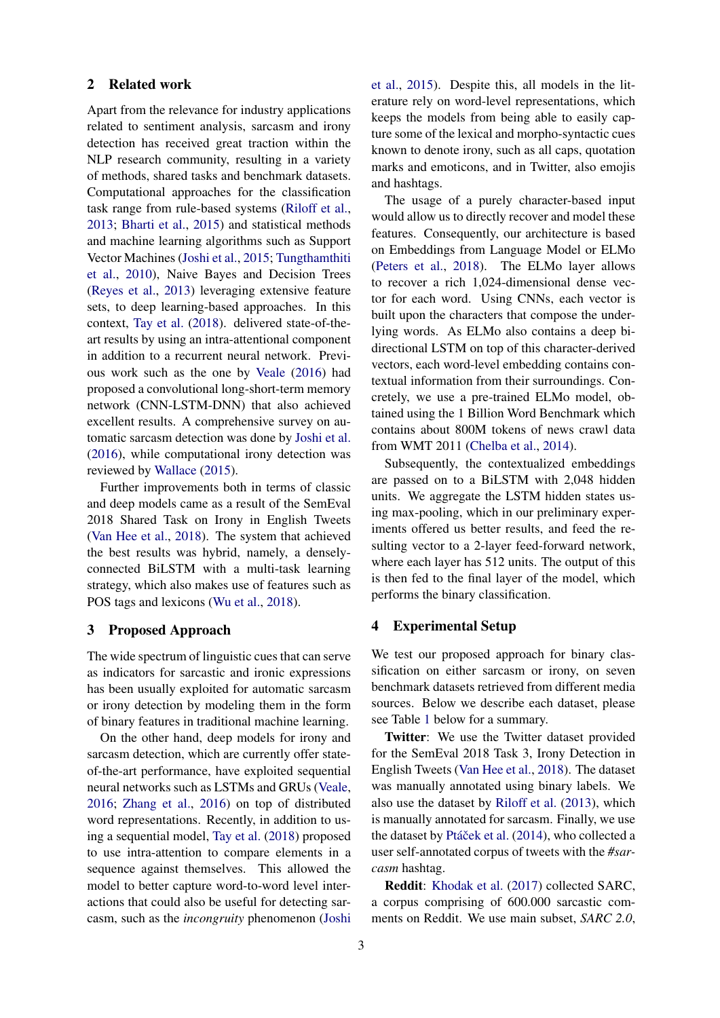#### 2 Related work

Apart from the relevance for industry applications related to sentiment analysis, sarcasm and irony detection has received great traction within the NLP research community, resulting in a variety of methods, shared tasks and benchmark datasets. Computational approaches for the classification task range from rule-based systems [\(Riloff et al.,](#page-4-4) [2013;](#page-4-4) [Bharti et al.,](#page-4-11) [2015\)](#page-4-11) and statistical methods and machine learning algorithms such as Support Vector Machines [\(Joshi et al.,](#page-4-3) [2015;](#page-4-3) [Tungthamthiti](#page-4-12) [et al.,](#page-4-12) [2010\)](#page-4-12), Naive Bayes and Decision Trees [\(Reyes et al.,](#page-4-13) [2013\)](#page-4-13) leveraging extensive feature sets, to deep learning-based approaches. In this context, [Tay et al.](#page-4-14) [\(2018\)](#page-4-14). delivered state-of-theart results by using an intra-attentional component in addition to a recurrent neural network. Previous work such as the one by [Veale](#page-5-0) [\(2016\)](#page-5-0) had proposed a convolutional long-short-term memory network (CNN-LSTM-DNN) that also achieved excellent results. A comprehensive survey on automatic sarcasm detection was done by [Joshi et al.](#page-4-15) [\(2016\)](#page-4-15), while computational irony detection was reviewed by [Wallace](#page-5-1) [\(2015\)](#page-5-1).

Further improvements both in terms of classic and deep models came as a result of the SemEval 2018 Shared Task on Irony in English Tweets [\(Van Hee et al.,](#page-5-2) [2018\)](#page-5-2). The system that achieved the best results was hybrid, namely, a denselyconnected BiLSTM with a multi-task learning strategy, which also makes use of features such as POS tags and lexicons [\(Wu et al.,](#page-5-3) [2018\)](#page-5-3).

#### 3 Proposed Approach

The wide spectrum of linguistic cues that can serve as indicators for sarcastic and ironic expressions has been usually exploited for automatic sarcasm or irony detection by modeling them in the form of binary features in traditional machine learning.

On the other hand, deep models for irony and sarcasm detection, which are currently offer stateof-the-art performance, have exploited sequential neural networks such as LSTMs and GRUs [\(Veale,](#page-5-0) [2016;](#page-5-0) [Zhang et al.,](#page-5-4) [2016\)](#page-5-4) on top of distributed word representations. Recently, in addition to using a sequential model, [Tay et al.](#page-4-14) [\(2018\)](#page-4-14) proposed to use intra-attention to compare elements in a sequence against themselves. This allowed the model to better capture word-to-word level interactions that could also be useful for detecting sarcasm, such as the *incongruity* phenomenon [\(Joshi](#page-4-3)

[et al.,](#page-4-3) [2015\)](#page-4-3). Despite this, all models in the literature rely on word-level representations, which keeps the models from being able to easily capture some of the lexical and morpho-syntactic cues known to denote irony, such as all caps, quotation marks and emoticons, and in Twitter, also emojis and hashtags.

The usage of a purely character-based input would allow us to directly recover and model these features. Consequently, our architecture is based on Embeddings from Language Model or ELMo [\(Peters et al.,](#page-4-10) [2018\)](#page-4-10). The ELMo layer allows to recover a rich 1,024-dimensional dense vector for each word. Using CNNs, each vector is built upon the characters that compose the underlying words. As ELMo also contains a deep bidirectional LSTM on top of this character-derived vectors, each word-level embedding contains contextual information from their surroundings. Concretely, we use a pre-trained ELMo model, obtained using the 1 Billion Word Benchmark which contains about 800M tokens of news crawl data from WMT 2011 [\(Chelba et al.,](#page-4-16) [2014\)](#page-4-16).

Subsequently, the contextualized embeddings are passed on to a BiLSTM with 2,048 hidden units. We aggregate the LSTM hidden states using max-pooling, which in our preliminary experiments offered us better results, and feed the resulting vector to a 2-layer feed-forward network, where each layer has 512 units. The output of this is then fed to the final layer of the model, which performs the binary classification.

## 4 Experimental Setup

We test our proposed approach for binary classification on either sarcasm or irony, on seven benchmark datasets retrieved from different media sources. Below we describe each dataset, please see Table [1](#page-2-0) below for a summary.

Twitter: We use the Twitter dataset provided for the SemEval 2018 Task 3, Irony Detection in English Tweets [\(Van Hee et al.,](#page-5-2) [2018\)](#page-5-2). The dataset was manually annotated using binary labels. We also use the dataset by [Riloff et al.](#page-4-4) [\(2013\)](#page-4-4), which is manually annotated for sarcasm. Finally, we use the dataset by Ptáček et al. [\(2014\)](#page-4-17), who collected a user self-annotated corpus of tweets with the *#sarcasm* hashtag.

Reddit: [Khodak et al.](#page-4-18) [\(2017\)](#page-4-18) collected SARC, a corpus comprising of 600.000 sarcastic comments on Reddit. We use main subset, *SARC 2.0*,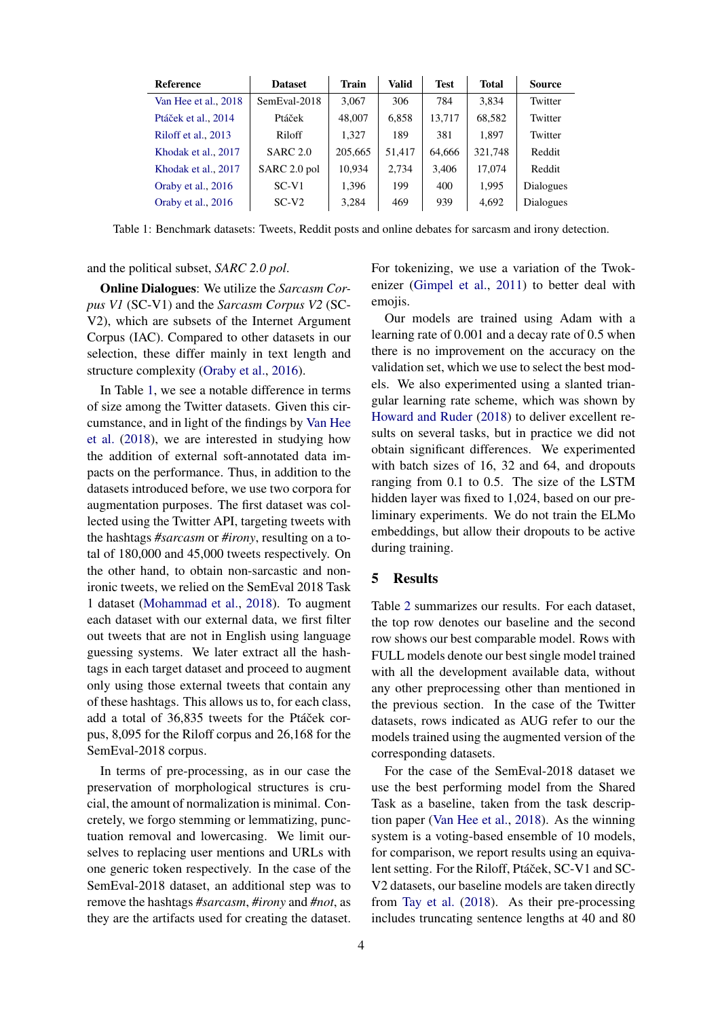| Reference            | <b>Dataset</b>  | <b>Train</b> | <b>Valid</b> | <b>Test</b> | <b>Total</b> | <b>Source</b> |
|----------------------|-----------------|--------------|--------------|-------------|--------------|---------------|
| Van Hee et al., 2018 | SemEval-2018    | 3,067        | 306          | 784         | 3.834        | Twitter       |
| Ptáček et al., 2014  | Ptáček          | 48,007       | 6,858        | 13,717      | 68,582       | Twitter       |
| Riloff et al., 2013  | Riloff          | 1.327        | 189          | 381         | 1.897        | Twitter       |
| Khodak et al., 2017  | <b>SARC 2.0</b> | 205,665      | 51,417       | 64.666      | 321,748      | Reddit        |
| Khodak et al., 2017  | SARC 2.0 pol    | 10.934       | 2.734        | 3.406       | 17,074       | Reddit        |
| Oraby et al., 2016   | $SC-V1$         | 1,396        | 199          | 400         | 1.995        | Dialogues     |
| Oraby et al., 2016   | $SC-V2$         | 3,284        | 469          | 939         | 4,692        | Dialogues     |

<span id="page-2-0"></span>Table 1: Benchmark datasets: Tweets, Reddit posts and online debates for sarcasm and irony detection.

and the political subset, *SARC 2.0 pol*.

Online Dialogues: We utilize the *Sarcasm Corpus V1* (SC-V1) and the *Sarcasm Corpus V2* (SC-V2), which are subsets of the Internet Argument Corpus (IAC). Compared to other datasets in our selection, these differ mainly in text length and structure complexity [\(Oraby et al.,](#page-4-19) [2016\)](#page-4-19).

In Table [1,](#page-2-0) we see a notable difference in terms of size among the Twitter datasets. Given this circumstance, and in light of the findings by [Van Hee](#page-5-2) [et al.](#page-5-2) [\(2018\)](#page-5-2), we are interested in studying how the addition of external soft-annotated data impacts on the performance. Thus, in addition to the datasets introduced before, we use two corpora for augmentation purposes. The first dataset was collected using the Twitter API, targeting tweets with the hashtags *#sarcasm* or *#irony*, resulting on a total of 180,000 and 45,000 tweets respectively. On the other hand, to obtain non-sarcastic and nonironic tweets, we relied on the SemEval 2018 Task 1 dataset [\(Mohammad et al.,](#page-4-20) [2018\)](#page-4-20). To augment each dataset with our external data, we first filter out tweets that are not in English using language guessing systems. We later extract all the hashtags in each target dataset and proceed to augment only using those external tweets that contain any of these hashtags. This allows us to, for each class, add a total of 36,835 tweets for the Ptáček corpus, 8,095 for the Riloff corpus and 26,168 for the SemEval-2018 corpus.

In terms of pre-processing, as in our case the preservation of morphological structures is crucial, the amount of normalization is minimal. Concretely, we forgo stemming or lemmatizing, punctuation removal and lowercasing. We limit ourselves to replacing user mentions and URLs with one generic token respectively. In the case of the SemEval-2018 dataset, an additional step was to remove the hashtags *#sarcasm*, *#irony* and *#not*, as they are the artifacts used for creating the dataset.

For tokenizing, we use a variation of the Twokenizer [\(Gimpel et al.,](#page-4-21) [2011\)](#page-4-21) to better deal with emojis.

Our models are trained using Adam with a learning rate of 0.001 and a decay rate of 0.5 when there is no improvement on the accuracy on the validation set, which we use to select the best models. We also experimented using a slanted triangular learning rate scheme, which was shown by [Howard and Ruder](#page-4-22) [\(2018\)](#page-4-22) to deliver excellent results on several tasks, but in practice we did not obtain significant differences. We experimented with batch sizes of 16, 32 and 64, and dropouts ranging from 0.1 to 0.5. The size of the LSTM hidden layer was fixed to 1,024, based on our preliminary experiments. We do not train the ELMo embeddings, but allow their dropouts to be active during training.

## 5 Results

Table [2](#page-3-0) summarizes our results. For each dataset, the top row denotes our baseline and the second row shows our best comparable model. Rows with FULL models denote our best single model trained with all the development available data, without any other preprocessing other than mentioned in the previous section. In the case of the Twitter datasets, rows indicated as AUG refer to our the models trained using the augmented version of the corresponding datasets.

For the case of the SemEval-2018 dataset we use the best performing model from the Shared Task as a baseline, taken from the task description paper [\(Van Hee et al.,](#page-5-2) [2018\)](#page-5-2). As the winning system is a voting-based ensemble of 10 models, for comparison, we report results using an equivalent setting. For the Riloff, Ptáček, SC-V1 and SC-V2 datasets, our baseline models are taken directly from [Tay et al.](#page-4-14) [\(2018\)](#page-4-14). As their pre-processing includes truncating sentence lengths at 40 and 80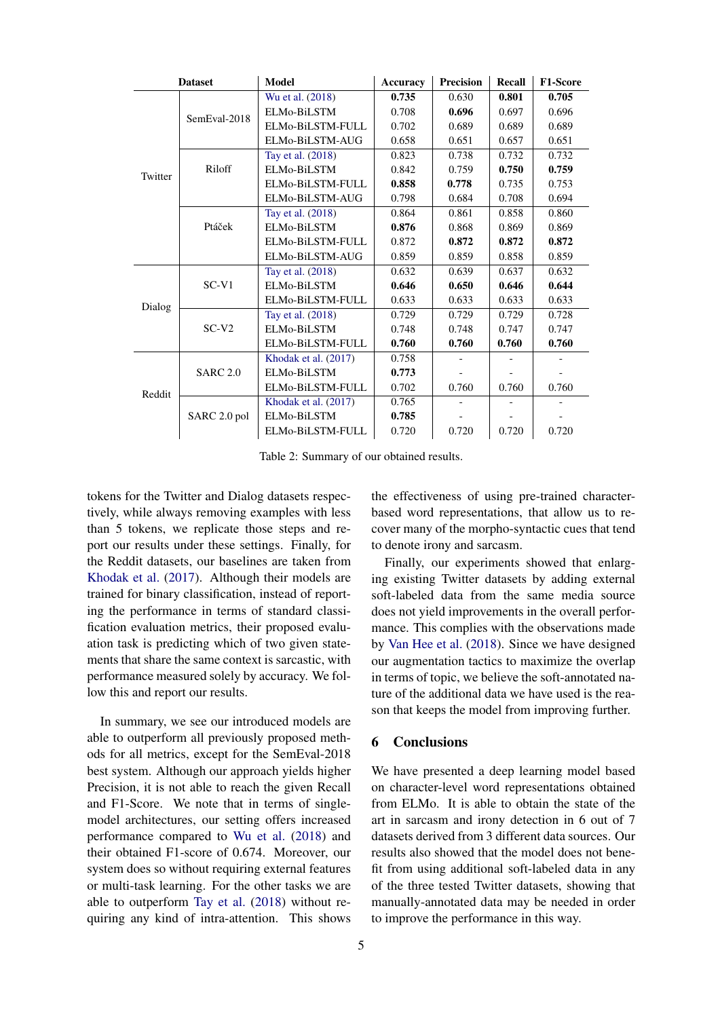| <b>Dataset</b> |                 | <b>Model</b>         | <b>Accuracy</b> | <b>Precision</b> | Recall | <b>F1-Score</b> |
|----------------|-----------------|----------------------|-----------------|------------------|--------|-----------------|
| Twitter        | SemEval-2018    | Wu et al. (2018)     | 0.735           | 0.630            | 0.801  | 0.705           |
|                |                 | ELMo-BiLSTM          | 0.708           | 0.696            | 0.697  | 0.696           |
|                |                 | ELMo-BiLSTM-FULL     | 0.702           | 0.689            | 0.689  | 0.689           |
|                |                 | ELMo-BiLSTM-AUG      | 0.658           | 0.651            | 0.657  | 0.651           |
|                | Riloff          | Tay et al. (2018)    | 0.823           | 0.738            | 0.732  | 0.732           |
|                |                 | ELMo-BiLSTM          | 0.842           | 0.759            | 0.750  | 0.759           |
|                |                 | ELMo-BiLSTM-FULL     | 0.858           | 0.778            | 0.735  | 0.753           |
|                |                 | ELMo-BiLSTM-AUG      | 0.798           | 0.684            | 0.708  | 0.694           |
|                | Ptáček          | Tay et al. (2018)    | 0.864           | 0.861            | 0.858  | 0.860           |
|                |                 | ELMo-BiLSTM          | 0.876           | 0.868            | 0.869  | 0.869           |
|                |                 | ELMo-BiLSTM-FULL     | 0.872           | 0.872            | 0.872  | 0.872           |
|                |                 | ELMo-BiLSTM-AUG      | 0.859           | 0.859            | 0.858  | 0.859           |
| Dialog         | $SC-V1$         | Tay et al. (2018)    | 0.632           | 0.639            | 0.637  | 0.632           |
|                |                 | ELMo-BiLSTM          | 0.646           | 0.650            | 0.646  | 0.644           |
|                |                 | ELMo-BiLSTM-FULL     | 0.633           | 0.633            | 0.633  | 0.633           |
|                | $SC-V2$         | Tay et al. (2018)    | 0.729           | 0.729            | 0.729  | 0.728           |
|                |                 | ELMo-BiLSTM          | 0.748           | 0.748            | 0.747  | 0.747           |
|                |                 | ELMo-BiLSTM-FULL     | 0.760           | 0.760            | 0.760  | 0.760           |
| Reddit         | <b>SARC 2.0</b> | Khodak et al. (2017) | 0.758           |                  |        |                 |
|                |                 | ELMo-BiLSTM          | 0.773           |                  |        |                 |
|                |                 | ELMo-BiLSTM-FULL     | 0.702           | 0.760            | 0.760  | 0.760           |
|                | SARC 2.0 pol    | Khodak et al. (2017) | 0.765           |                  |        |                 |
|                |                 | ELMo-BiLSTM          | 0.785           |                  |        |                 |
|                |                 | ELMo-BiLSTM-FULL     | 0.720           | 0.720            | 0.720  | 0.720           |

<span id="page-3-0"></span>Table 2: Summary of our obtained results.

tokens for the Twitter and Dialog datasets respectively, while always removing examples with less than 5 tokens, we replicate those steps and report our results under these settings. Finally, for the Reddit datasets, our baselines are taken from [Khodak et al.](#page-4-18) [\(2017\)](#page-4-18). Although their models are trained for binary classification, instead of reporting the performance in terms of standard classification evaluation metrics, their proposed evaluation task is predicting which of two given statements that share the same context is sarcastic, with performance measured solely by accuracy. We follow this and report our results.

In summary, we see our introduced models are able to outperform all previously proposed methods for all metrics, except for the SemEval-2018 best system. Although our approach yields higher Precision, it is not able to reach the given Recall and F1-Score. We note that in terms of singlemodel architectures, our setting offers increased performance compared to [Wu et al.](#page-5-3) [\(2018\)](#page-5-3) and their obtained F1-score of 0.674. Moreover, our system does so without requiring external features or multi-task learning. For the other tasks we are able to outperform [Tay et al.](#page-4-14) [\(2018\)](#page-4-14) without requiring any kind of intra-attention. This shows

the effectiveness of using pre-trained characterbased word representations, that allow us to recover many of the morpho-syntactic cues that tend to denote irony and sarcasm.

Finally, our experiments showed that enlarging existing Twitter datasets by adding external soft-labeled data from the same media source does not yield improvements in the overall performance. This complies with the observations made by [Van Hee et al.](#page-5-2) [\(2018\)](#page-5-2). Since we have designed our augmentation tactics to maximize the overlap in terms of topic, we believe the soft-annotated nature of the additional data we have used is the reason that keeps the model from improving further.

#### 6 Conclusions

We have presented a deep learning model based on character-level word representations obtained from ELMo. It is able to obtain the state of the art in sarcasm and irony detection in 6 out of 7 datasets derived from 3 different data sources. Our results also showed that the model does not benefit from using additional soft-labeled data in any of the three tested Twitter datasets, showing that manually-annotated data may be needed in order to improve the performance in this way.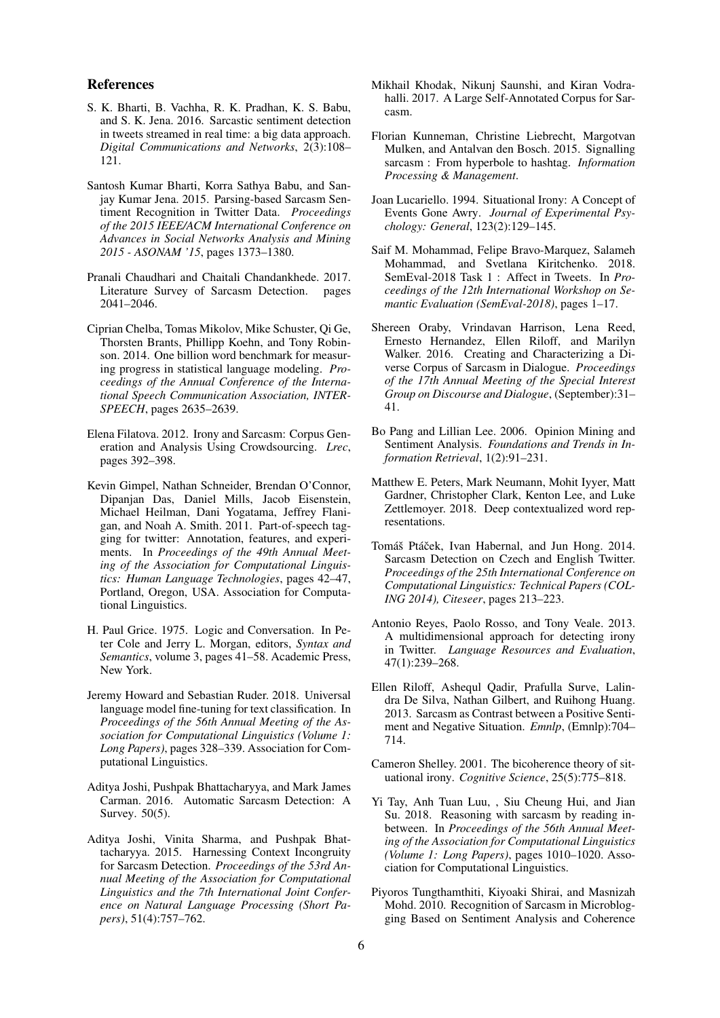#### References

- <span id="page-4-9"></span>S. K. Bharti, B. Vachha, R. K. Pradhan, K. S. Babu, and S. K. Jena. 2016. Sarcastic sentiment detection in tweets streamed in real time: a big data approach. *Digital Communications and Networks*, 2(3):108– 121.
- <span id="page-4-11"></span>Santosh Kumar Bharti, Korra Sathya Babu, and Sanjay Kumar Jena. 2015. Parsing-based Sarcasm Sentiment Recognition in Twitter Data. *Proceedings of the 2015 IEEE/ACM International Conference on Advances in Social Networks Analysis and Mining 2015 - ASONAM '15*, pages 1373–1380.
- <span id="page-4-2"></span>Pranali Chaudhari and Chaitali Chandankhede. 2017. Literature Survey of Sarcasm Detection. pages 2041–2046.
- <span id="page-4-16"></span>Ciprian Chelba, Tomas Mikolov, Mike Schuster, Qi Ge, Thorsten Brants, Phillipp Koehn, and Tony Robinson. 2014. One billion word benchmark for measuring progress in statistical language modeling. *Proceedings of the Annual Conference of the International Speech Communication Association, INTER-SPEECH*, pages 2635–2639.
- <span id="page-4-1"></span>Elena Filatova. 2012. Irony and Sarcasm: Corpus Generation and Analysis Using Crowdsourcing. *Lrec*, pages 392–398.
- <span id="page-4-21"></span>Kevin Gimpel, Nathan Schneider, Brendan O'Connor, Dipanjan Das, Daniel Mills, Jacob Eisenstein, Michael Heilman, Dani Yogatama, Jeffrey Flanigan, and Noah A. Smith. 2011. Part-of-speech tagging for twitter: Annotation, features, and experiments. In *Proceedings of the 49th Annual Meeting of the Association for Computational Linguistics: Human Language Technologies*, pages 42–47, Portland, Oregon, USA. Association for Computational Linguistics.
- <span id="page-4-5"></span>H. Paul Grice. 1975. Logic and Conversation. In Peter Cole and Jerry L. Morgan, editors, *Syntax and Semantics*, volume 3, pages 41–58. Academic Press, New York.
- <span id="page-4-22"></span>Jeremy Howard and Sebastian Ruder. 2018. Universal language model fine-tuning for text classification. In *Proceedings of the 56th Annual Meeting of the Association for Computational Linguistics (Volume 1: Long Papers)*, pages 328–339. Association for Computational Linguistics.
- <span id="page-4-15"></span>Aditya Joshi, Pushpak Bhattacharyya, and Mark James Carman. 2016. Automatic Sarcasm Detection: A Survey. 50(5).
- <span id="page-4-3"></span>Aditya Joshi, Vinita Sharma, and Pushpak Bhattacharyya. 2015. Harnessing Context Incongruity for Sarcasm Detection. *Proceedings of the 53rd Annual Meeting of the Association for Computational Linguistics and the 7th International Joint Conference on Natural Language Processing (Short Papers)*, 51(4):757–762.
- <span id="page-4-18"></span>Mikhail Khodak, Nikunj Saunshi, and Kiran Vodrahalli. 2017. A Large Self-Annotated Corpus for Sarcasm.
- <span id="page-4-8"></span>Florian Kunneman, Christine Liebrecht, Margotvan Mulken, and Antalvan den Bosch. 2015. Signalling sarcasm : From hyperbole to hashtag. *Information Processing & Management*.
- <span id="page-4-6"></span>Joan Lucariello. 1994. Situational Irony: A Concept of Events Gone Awry. *Journal of Experimental Psychology: General*, 123(2):129–145.
- <span id="page-4-20"></span>Saif M. Mohammad, Felipe Bravo-Marquez, Salameh Mohammad, and Svetlana Kiritchenko. 2018. SemEval-2018 Task 1 : Affect in Tweets. In *Proceedings of the 12th International Workshop on Semantic Evaluation (SemEval-2018)*, pages 1–17.
- <span id="page-4-19"></span>Shereen Oraby, Vrindavan Harrison, Lena Reed, Ernesto Hernandez, Ellen Riloff, and Marilyn Walker. 2016. Creating and Characterizing a Diverse Corpus of Sarcasm in Dialogue. *Proceedings of the 17th Annual Meeting of the Special Interest Group on Discourse and Dialogue*, (September):31– 41.
- <span id="page-4-0"></span>Bo Pang and Lillian Lee. 2006. Opinion Mining and Sentiment Analysis. *Foundations and Trends in Information Retrieval*, 1(2):91–231.
- <span id="page-4-10"></span>Matthew E. Peters, Mark Neumann, Mohit Iyyer, Matt Gardner, Christopher Clark, Kenton Lee, and Luke Zettlemoyer. 2018. Deep contextualized word representations.
- <span id="page-4-17"></span>Tomáš Ptáček, Ivan Habernal, and Jun Hong. 2014. Sarcasm Detection on Czech and English Twitter. *Proceedings of the 25th International Conference on Computational Linguistics: Technical Papers (COL-ING 2014), Citeseer*, pages 213–223.
- <span id="page-4-13"></span>Antonio Reyes, Paolo Rosso, and Tony Veale. 2013. A multidimensional approach for detecting irony in Twitter. *Language Resources and Evaluation*, 47(1):239–268.
- <span id="page-4-4"></span>Ellen Riloff, Ashequl Qadir, Prafulla Surve, Lalindra De Silva, Nathan Gilbert, and Ruihong Huang. 2013. Sarcasm as Contrast between a Positive Sentiment and Negative Situation. *Emnlp*, (Emnlp):704– 714.
- <span id="page-4-7"></span>Cameron Shelley. 2001. The bicoherence theory of situational irony. *Cognitive Science*, 25(5):775–818.
- <span id="page-4-14"></span>Yi Tay, Anh Tuan Luu, , Siu Cheung Hui, and Jian Su. 2018. Reasoning with sarcasm by reading inbetween. In *Proceedings of the 56th Annual Meeting of the Association for Computational Linguistics (Volume 1: Long Papers)*, pages 1010–1020. Association for Computational Linguistics.
- <span id="page-4-12"></span>Piyoros Tungthamthiti, Kiyoaki Shirai, and Masnizah Mohd. 2010. Recognition of Sarcasm in Microblogging Based on Sentiment Analysis and Coherence